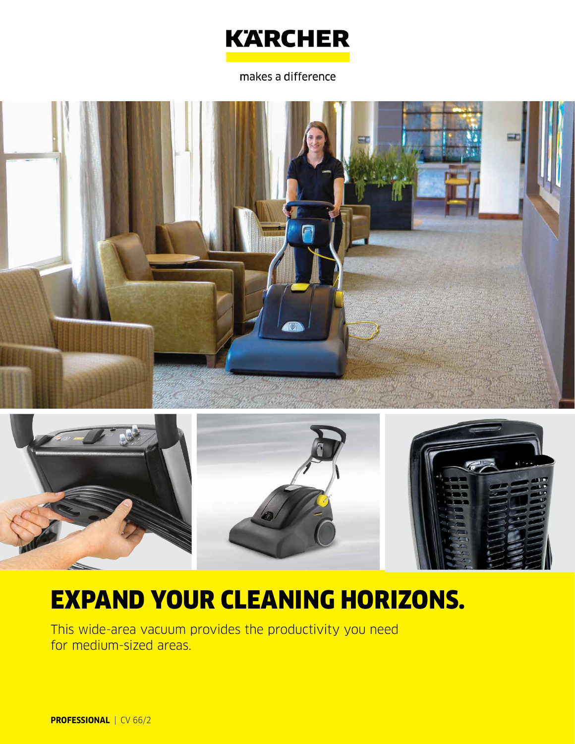

makes a difference





# EXPAND YOUR CLEANING HORIZONS.

This wide-area vacuum provides the productivity you need for medium-sized areas.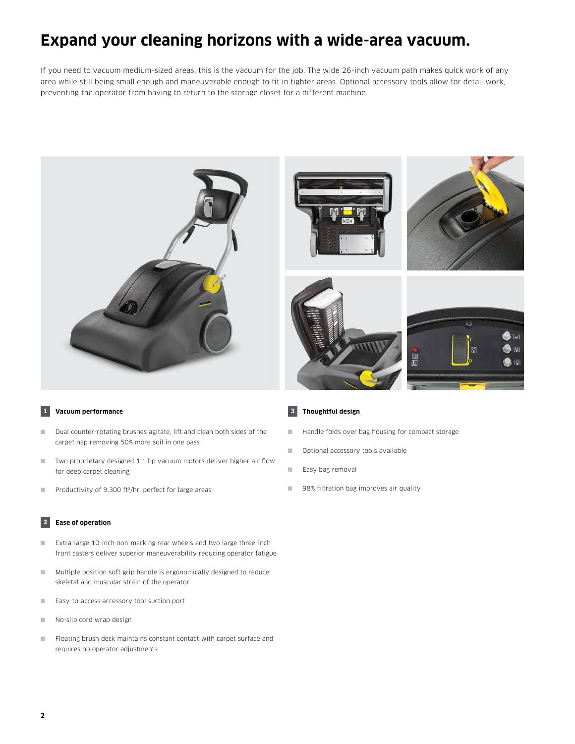### **Expand your cleaning horizons with a wide-area vacuum.**

If you need to vacuum medium-sized areas, this is the vacuum for the job. The wide 26-inch vacuum path makes quick work of any area while still being small enough and maneuverable enough to fit in tighter areas. Optional accessory tools allow for detail work, preventing the operator from having to return to the storage closet for a different machine.









### **1 Vacuum performance**

- Dual counter-rotating brushes agitate, lift and clean both sides of the carpet nap removing 50% more soil in one pass
- Two proprietary designed 1.1 hp vacuum motors deliver higher air flow for deep carpet cleaning
- Productivity of 9,300 ft<sup>2</sup>/hr, perfect for large areas

### **2 Ease of operation**

- Extra-large 10-inch non-marking rear wheels and two large three-inch front casters deliver superior maneuverability reducing operator fatigue
- Multiple position soft grip handle is ergonomically designed to reduce skeletal and muscular strain of the operator
- Easy-to-access accessory tool suction port
- No-slip cord wrap design
- Floating brush deck maintains constant contact with carpet surface and requires no operator adjustments

#### **3 Thoughtful design**

- Handle folds over bag housing for compact storage
- Optional accessory tools available
- Easy bag removal
- 98% filtration bag improves air quality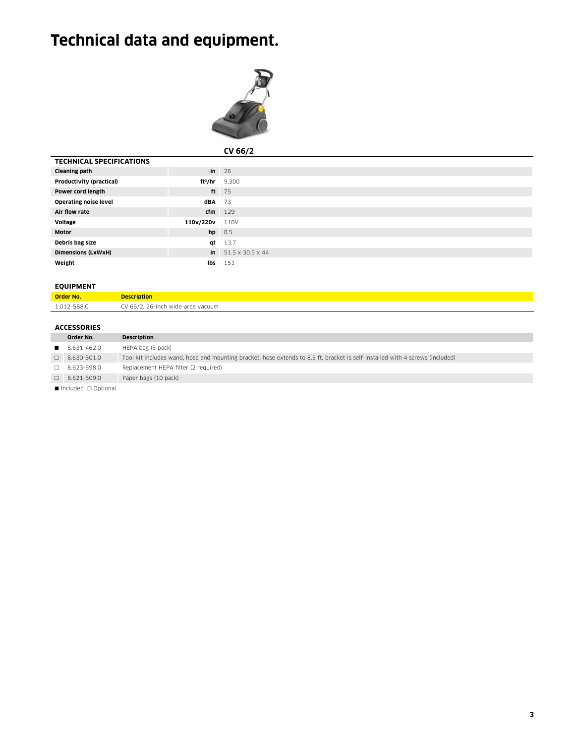## **Technical data and equipment.**



|                                 |           | CV 66/2                         |
|---------------------------------|-----------|---------------------------------|
| <b>TECHNICAL SPECIFICATIONS</b> |           |                                 |
| <b>Cleaning path</b>            |           | $\mathsf{in}$ 26                |
| Productivity (practical)        |           | $ft2/hr$ 9,300                  |
| Power cord length               |           | ft $75$                         |
| <b>Operating noise level</b>    | $dBA$ 73  |                                 |
| Air flow rate                   |           | $cfm$ 129                       |
| Voltage                         | 110v/220v | 110V                            |
| <b>Motor</b>                    |           | $hp$ 0.5                        |
| Debris bag size                 | qt        | 13.7                            |
| <b>Dimensions (LxWxH)</b>       |           | in $51.5 \times 30.5 \times 44$ |
| Weight                          | lbs       | 151                             |

### **EQUIPMENT**

| <b>Order No.</b> | <b>Description</b>                |
|------------------|-----------------------------------|
| 1.012-588.0      | CV 66/2, 26-inch wide-area vacuum |

### **ACCESSORIES**

|                             | Order No.          | <b>Description</b>                                                                                                            |
|-----------------------------|--------------------|-------------------------------------------------------------------------------------------------------------------------------|
|                             | 8.631-462.0        | HEPA bag (5 pack)                                                                                                             |
|                             | $\Box$ 8.630-501.0 | Tool kit includes wand, hose and mounting bracket, hose extends to 8.5 ft, bracket is self-installed with 4 screws (included) |
| П.                          | 8.623-598.0        | Replacement HEPA filter (2 required)                                                                                          |
|                             | $\Box$ 8.621-509.0 | Paper bags (10 pack)                                                                                                          |
| <b>Experience Continued</b> |                    |                                                                                                                               |

■ Included □ Optional